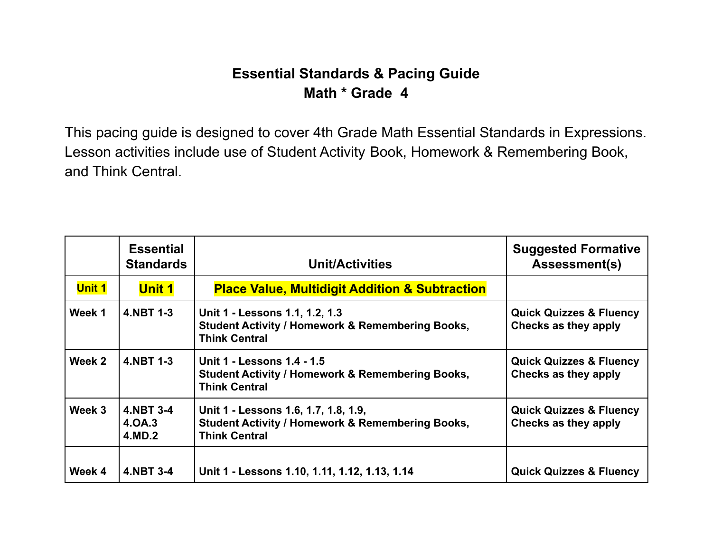## **Essential Standards & Pacing Guide Math \* Grade 4**

This pacing guide is designed to cover 4th Grade Math Essential Standards in Expressions. Lesson activities include use of Student Activity Book, Homework & Remembering Book, and Think Central.

|               | <b>Essential</b><br><b>Standards</b> | <b>Unit/Activities</b>                                                                                                      | <b>Suggested Formative</b><br><b>Assessment(s)</b>         |
|---------------|--------------------------------------|-----------------------------------------------------------------------------------------------------------------------------|------------------------------------------------------------|
| <b>Unit 1</b> | <b>Unit 1</b>                        | <b>Place Value, Multidigit Addition &amp; Subtraction</b>                                                                   |                                                            |
| Week 1        | 4.NBT 1-3                            | Unit 1 - Lessons 1.1, 1.2, 1.3<br><b>Student Activity / Homework &amp; Remembering Books,</b><br><b>Think Central</b>       | <b>Quick Quizzes &amp; Fluency</b><br>Checks as they apply |
| Week 2        | 4.NBT 1-3                            | Unit 1 - Lessons 1.4 - 1.5<br><b>Student Activity / Homework &amp; Remembering Books,</b><br><b>Think Central</b>           | <b>Quick Quizzes &amp; Fluency</b><br>Checks as they apply |
| Week 3        | 4.NBT 3-4<br>4.0A.3<br>4.MD.2        | Unit 1 - Lessons 1.6, 1.7, 1.8, 1.9,<br><b>Student Activity / Homework &amp; Remembering Books,</b><br><b>Think Central</b> | <b>Quick Quizzes &amp; Fluency</b><br>Checks as they apply |
| Week 4        | 4.NBT 3-4                            | Unit 1 - Lessons 1.10, 1.11, 1.12, 1.13, 1.14                                                                               | <b>Quick Quizzes &amp; Fluency</b>                         |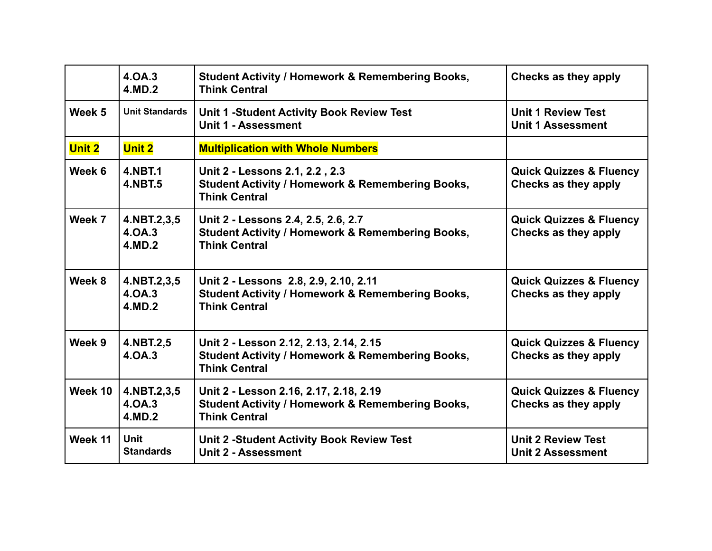|               | 4.0A.3<br>4.MD.2                 | <b>Student Activity / Homework &amp; Remembering Books,</b><br><b>Think Central</b>                                           | Checks as they apply                                       |
|---------------|----------------------------------|-------------------------------------------------------------------------------------------------------------------------------|------------------------------------------------------------|
| Week 5        | <b>Unit Standards</b>            | <b>Unit 1 -Student Activity Book Review Test</b><br>Unit 1 - Assessment                                                       | <b>Unit 1 Review Test</b><br><b>Unit 1 Assessment</b>      |
| <b>Unit 2</b> | <b>Unit 2</b>                    | <b>Multiplication with Whole Numbers</b>                                                                                      |                                                            |
| Week 6        | <b>4.NBT.1</b><br><b>4.NBT.5</b> | Unit 2 - Lessons 2.1, 2.2, 2.3<br><b>Student Activity / Homework &amp; Remembering Books,</b><br><b>Think Central</b>         | <b>Quick Quizzes &amp; Fluency</b><br>Checks as they apply |
| Week 7        | 4.NBT.2,3,5<br>4.0A.3<br>4.MD.2  | Unit 2 - Lessons 2.4, 2.5, 2.6, 2.7<br><b>Student Activity / Homework &amp; Remembering Books,</b><br><b>Think Central</b>    | <b>Quick Quizzes &amp; Fluency</b><br>Checks as they apply |
| Week 8        | 4.NBT.2,3,5<br>4.0A.3<br>4.MD.2  | Unit 2 - Lessons 2.8, 2.9, 2.10, 2.11<br><b>Student Activity / Homework &amp; Remembering Books,</b><br><b>Think Central</b>  | <b>Quick Quizzes &amp; Fluency</b><br>Checks as they apply |
| Week 9        | 4.NBT.2,5<br>4.0A.3              | Unit 2 - Lesson 2.12, 2.13, 2.14, 2.15<br><b>Student Activity / Homework &amp; Remembering Books,</b><br><b>Think Central</b> | <b>Quick Quizzes &amp; Fluency</b><br>Checks as they apply |
| Week 10       | 4.NBT.2,3,5<br>4.0A.3<br>4.MD.2  | Unit 2 - Lesson 2.16, 2.17, 2.18, 2.19<br><b>Student Activity / Homework &amp; Remembering Books,</b><br><b>Think Central</b> | <b>Quick Quizzes &amp; Fluency</b><br>Checks as they apply |
| Week 11       | <b>Unit</b><br><b>Standards</b>  | <b>Unit 2 -Student Activity Book Review Test</b><br>Unit 2 - Assessment                                                       | <b>Unit 2 Review Test</b><br><b>Unit 2 Assessment</b>      |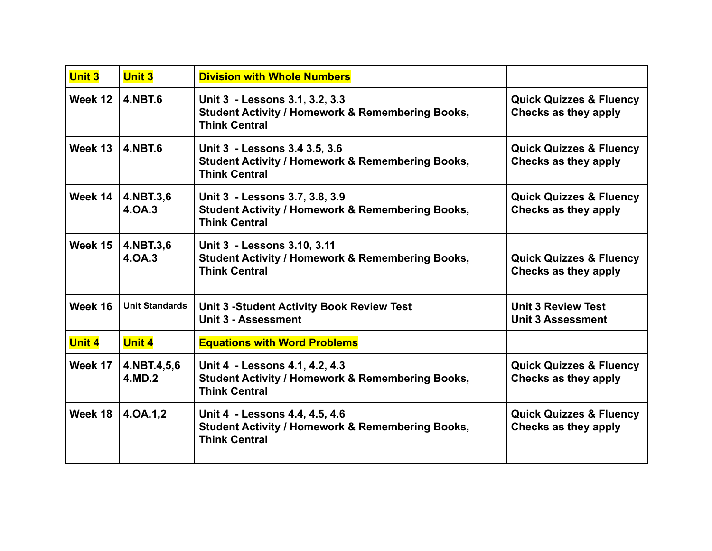| <b>Unit 3</b> | <b>Unit 3</b>         | <b>Division with Whole Numbers</b>                                                                                    |                                                            |
|---------------|-----------------------|-----------------------------------------------------------------------------------------------------------------------|------------------------------------------------------------|
| Week 12       | <b>4.NBT.6</b>        | Unit 3 - Lessons 3.1, 3.2, 3.3<br><b>Student Activity / Homework &amp; Remembering Books,</b><br><b>Think Central</b> | <b>Quick Quizzes &amp; Fluency</b><br>Checks as they apply |
| Week 13       | 4.NBT.6               | Unit 3 - Lessons 3.4 3.5, 3.6<br><b>Student Activity / Homework &amp; Remembering Books,</b><br><b>Think Central</b>  | <b>Quick Quizzes &amp; Fluency</b><br>Checks as they apply |
| Week 14       | 4.NBT.3,6<br>4.OA.3   | Unit 3 - Lessons 3.7, 3.8, 3.9<br><b>Student Activity / Homework &amp; Remembering Books,</b><br><b>Think Central</b> | <b>Quick Quizzes &amp; Fluency</b><br>Checks as they apply |
| Week 15       | 4.NBT.3,6<br>4.0A.3   | Unit 3 - Lessons 3.10, 3.11<br><b>Student Activity / Homework &amp; Remembering Books,</b><br><b>Think Central</b>    | <b>Quick Quizzes &amp; Fluency</b><br>Checks as they apply |
| Week 16       | <b>Unit Standards</b> | <b>Unit 3 -Student Activity Book Review Test</b><br>Unit 3 - Assessment                                               | <b>Unit 3 Review Test</b><br><b>Unit 3 Assessment</b>      |
| <b>Unit 4</b> | <b>Unit 4</b>         | <b>Equations with Word Problems</b>                                                                                   |                                                            |
| Week 17       | 4.NBT.4,5,6<br>4.MD.2 | Unit 4 - Lessons 4.1, 4.2, 4.3<br><b>Student Activity / Homework &amp; Remembering Books,</b><br><b>Think Central</b> | <b>Quick Quizzes &amp; Fluency</b><br>Checks as they apply |
| Week 18       | 4.0A.1,2              | Unit 4 - Lessons 4.4, 4.5, 4.6<br><b>Student Activity / Homework &amp; Remembering Books,</b><br><b>Think Central</b> | <b>Quick Quizzes &amp; Fluency</b><br>Checks as they apply |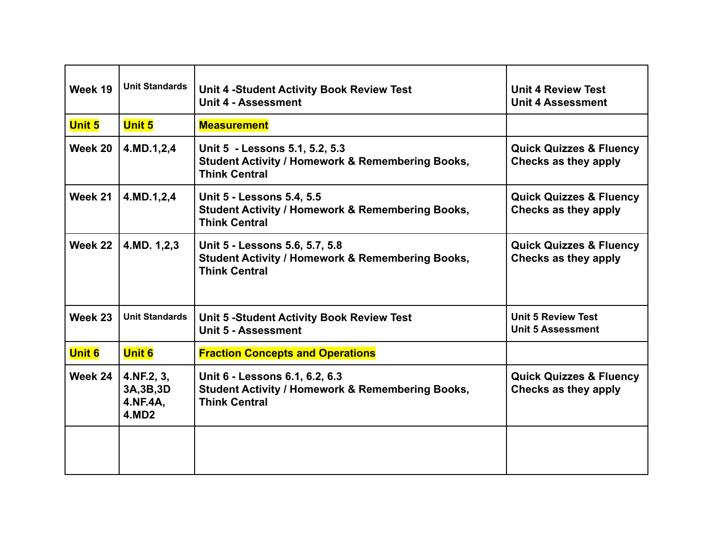| Week 19       | <b>Unit Standards</b>                                | Unit 4 -Student Activity Book Review Test<br>Unit 4 - Assessment                                                        | <b>Unit 4 Review Test</b><br><b>Unit 4 Assessment</b>      |
|---------------|------------------------------------------------------|-------------------------------------------------------------------------------------------------------------------------|------------------------------------------------------------|
| <b>Unit 5</b> | <b>Unit 5</b>                                        | <b>Measurement</b>                                                                                                      |                                                            |
| Week 20       | 4.MD.1,2,4                                           | Unit 5 - Lessons 5.1, 5.2, 5.3<br><b>Student Activity / Homework &amp; Remembering Books,</b><br><b>Think Central</b>   | <b>Quick Quizzes &amp; Fluency</b><br>Checks as they apply |
| Week 21       | 4.MD.1,2,4                                           | <b>Unit 5 - Lessons 5.4, 5.5</b><br><b>Student Activity / Homework &amp; Remembering Books,</b><br><b>Think Central</b> | <b>Quick Quizzes &amp; Fluency</b><br>Checks as they apply |
| Week 22       | 4.MD. 1,2,3                                          | Unit 5 - Lessons 5.6, 5.7, 5.8<br><b>Student Activity / Homework &amp; Remembering Books,</b><br><b>Think Central</b>   | <b>Quick Quizzes &amp; Fluency</b><br>Checks as they apply |
| Week 23       | <b>Unit Standards</b>                                | Unit 5 -Student Activity Book Review Test<br>Unit 5 - Assessment                                                        | <b>Unit 5 Review Test</b><br><b>Unit 5 Assessment</b>      |
| <b>Unit 6</b> | <b>Unit 6</b>                                        | <b>Fraction Concepts and Operations</b>                                                                                 |                                                            |
| Week 24       | 4.NF.2, 3,<br>3A, 3B, 3D<br>4.NF.4A,<br><b>4.MD2</b> | Unit 6 - Lessons 6.1, 6.2, 6.3<br><b>Student Activity / Homework &amp; Remembering Books,</b><br><b>Think Central</b>   | <b>Quick Quizzes &amp; Fluency</b><br>Checks as they apply |
|               |                                                      |                                                                                                                         |                                                            |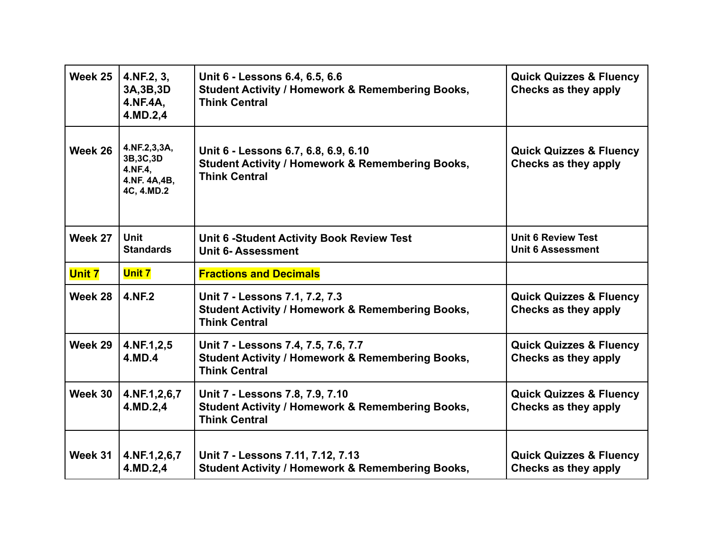| Week 25       | 4.NF.2, 3,<br>3A, 3B, 3D<br>4.NF.4A,<br>4.MD.2,4                    | Unit 6 - Lessons 6.4, 6.5, 6.6<br><b>Student Activity / Homework &amp; Remembering Books,</b><br><b>Think Central</b>       | <b>Quick Quizzes &amp; Fluency</b><br>Checks as they apply |
|---------------|---------------------------------------------------------------------|-----------------------------------------------------------------------------------------------------------------------------|------------------------------------------------------------|
| Week 26       | 4.NF.2,3,3A,<br>3B, 3C, 3D<br>4.NF.4,<br>4.NF. 4A,4B,<br>4C, 4.MD.2 | Unit 6 - Lessons 6.7, 6.8, 6.9, 6.10<br><b>Student Activity / Homework &amp; Remembering Books,</b><br><b>Think Central</b> | <b>Quick Quizzes &amp; Fluency</b><br>Checks as they apply |
| Week 27       | <b>Unit</b><br><b>Standards</b>                                     | <b>Unit 6 -Student Activity Book Review Test</b><br><b>Unit 6-Assessment</b>                                                | <b>Unit 6 Review Test</b><br><b>Unit 6 Assessment</b>      |
| <b>Unit 7</b> | <b>Unit 7</b>                                                       | <b>Fractions and Decimals</b>                                                                                               |                                                            |
| Week 28       | 4.NF.2                                                              | Unit 7 - Lessons 7.1, 7.2, 7.3<br><b>Student Activity / Homework &amp; Remembering Books,</b>                               | <b>Quick Quizzes &amp; Fluency</b><br>Checks as they apply |
|               |                                                                     | <b>Think Central</b>                                                                                                        |                                                            |
| Week 29       | 4.NF.1,2,5<br>4.MD.4                                                | Unit 7 - Lessons 7.4, 7.5, 7.6, 7.7<br><b>Student Activity / Homework &amp; Remembering Books,</b><br><b>Think Central</b>  | <b>Quick Quizzes &amp; Fluency</b><br>Checks as they apply |
| Week 30       | 4.NF.1,2,6,7<br>4.MD.2,4                                            | Unit 7 - Lessons 7.8, 7.9, 7.10<br><b>Student Activity / Homework &amp; Remembering Books,</b><br><b>Think Central</b>      | <b>Quick Quizzes &amp; Fluency</b><br>Checks as they apply |